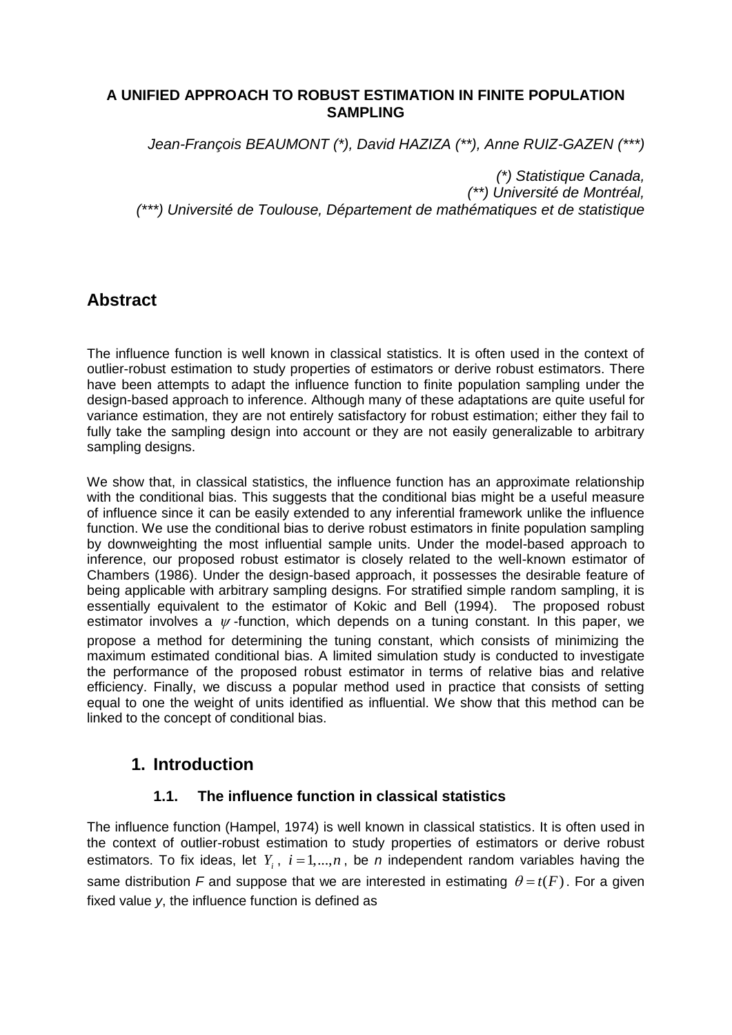### **A UNIFIED APPROACH TO ROBUST ESTIMATION IN FINITE POPULATION SAMPLING**

*Jean-François BEAUMONT (\*), David HAZIZA (\*\*), Anne RUIZ-GAZEN (\*\*\*)*

*(\*) Statistique Canada, (\*\*) Université de Montréal, (\*\*\*) Université de Toulouse, Département de mathématiques et de statistique*

# **Abstract**

The influence function is well known in classical statistics. It is often used in the context of outlier-robust estimation to study properties of estimators or derive robust estimators. There have been attempts to adapt the influence function to finite population sampling under the design-based approach to inference. Although many of these adaptations are quite useful for variance estimation, they are not entirely satisfactory for robust estimation; either they fail to fully take the sampling design into account or they are not easily generalizable to arbitrary sampling designs.

We show that, in classical statistics, the influence function has an approximate relationship with the conditional bias. This suggests that the conditional bias might be a useful measure of influence since it can be easily extended to any inferential framework unlike the influence function. We use the conditional bias to derive robust estimators in finite population sampling by downweighting the most influential sample units. Under the model-based approach to inference, our proposed robust estimator is closely related to the well-known estimator of Chambers (1986). Under the design-based approach, it possesses the desirable feature of being applicable with arbitrary sampling designs. For stratified simple random sampling, it is essentially equivalent to the estimator of Kokic and Bell (1994). The proposed robust estimator involves a  $\psi$ -function, which depends on a tuning constant. In this paper, we propose a method for determining the tuning constant, which consists of minimizing the maximum estimated conditional bias. A limited simulation study is conducted to investigate the performance of the proposed robust estimator in terms of relative bias and relative efficiency. Finally, we discuss a popular method used in practice that consists of setting equal to one the weight of units identified as influential. We show that this method can be linked to the concept of conditional bias.

# **1. Introduction**

## **1.1. The influence function in classical statistics**

The influence function (Hampel, 1974) is well known in classical statistics. It is often used in the context of outlier-robust estimation to study properties of estimators or derive robust estimators. To fix ideas, let  $Y_i$ ,  $i = 1,...,n$ , be *n* independent random variables having the same distribution F and suppose that we are interested in estimating  $\theta = t(F)$ . For a given fixed value *y*, the influence function is defined as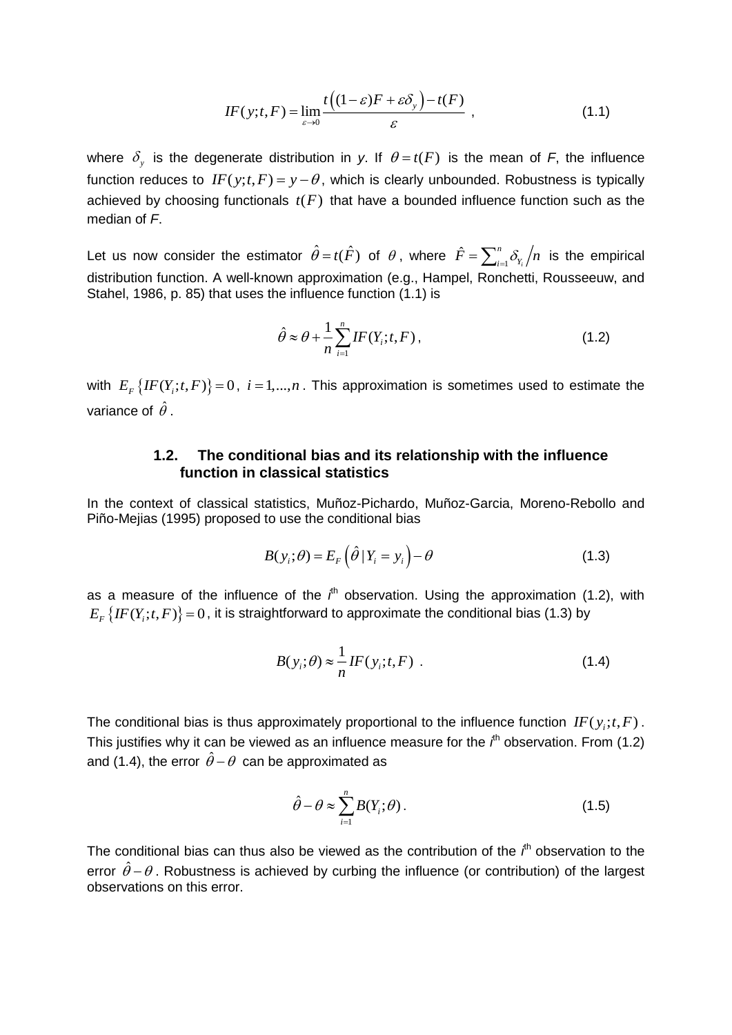$$
IF(y; t, F) = \lim_{\varepsilon \to 0} \frac{t\left((1-\varepsilon)F + \varepsilon \delta_y\right) - t(F)}{\varepsilon} , \qquad (1.1)
$$

where  $\delta_{y}$  is the degenerate distribution in y. If  $\theta = t(F)$  is the mean of F, the influence function reduces to  $IF(y; t, F) = y - \theta$ , which is clearly unbounded. Robustness is typically achieved by choosing functionals  $t(F)$  that have a bounded influence function such as the median of *F*.

Let us now consider the estimator  $\hat{\theta} = t(\hat{F})$  of  $\theta$ , where  $\hat{F} = \sum_{i=1}^n$  $\hat{F} = \sum_{i=1}^n \delta_{Y_i}$  $\hat{F} = \sum_{i=1}^{n} \delta_{Y_i} / n$  is the empirical distribution function. A well-known approximation (e.g., Hampel, Ronchetti, Rousseeuw, and Stahel, 1986, p. 85) that uses the influence function (1.1) is

$$
\hat{\theta} \approx \theta + \frac{1}{n} \sum_{i=1}^{n} IF(Y_i; t, F), \qquad (1.2)
$$

with  $E_F\{IF(Y_i;t,F)\}=0, i=1,...,n$ . This approximation is sometimes used to estimate the variance of  $\,\hat{\theta}$  .

### **1.2. The conditional bias and its relationship with the influence function in classical statistics**

In the context of classical statistics, Muñoz-Pichardo, Muñoz-Garcia, Moreno-Rebollo and Piño-Mejias (1995) proposed to use the conditional bias

$$
B(y_i; \theta) = E_F(\hat{\theta} | Y_i = y_i) - \theta
$$
\n(1.3)

as a measure of the influence of the  $f<sup>th</sup>$  observation. Using the approximation (1.2), with  $E_F\left\{IF(Y_i;t,F)\right\}=0$  , it is straightforward to approximate the conditional bias (1.3) by

$$
B(y_i; \theta) \approx \frac{1}{n} IF(y_i; t, F) \tag{1.4}
$$

The conditional bias is thus approximately proportional to the influence function  $IF(y_i;t,F)$ . This justifies why it can be viewed as an influence measure for the i<sup>th</sup> observation. From (1.2) and (1.4), the error  $\hat{\theta}$  –  $\theta$  can be approximated as

$$
\hat{\theta} - \theta \approx \sum_{i=1}^{n} B(Y_i; \theta). \tag{1.5}
$$

The conditional bias can thus also be viewed as the contribution of the *i*<sup>th</sup> observation to the error  $\hat{\theta}$  –  $\theta$ . Robustness is achieved by curbing the influence (or contribution) of the largest observations on this error.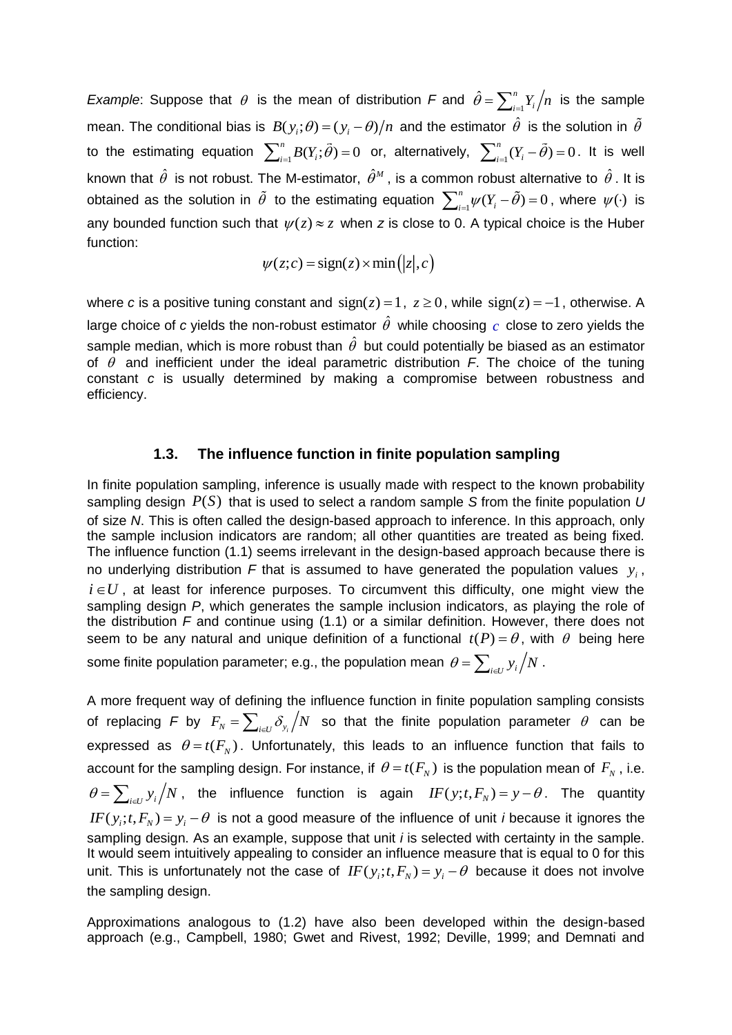*Example*: Suppose that  $\theta$  is the mean of distribution *F* and  $\theta = \sum_{i=1}^{n}$ ˆ *n*  $\hat{\theta} = \sum_{i=1}^{n} Y_i / n$  is the sample mean. The conditional bias is  $B(y_i;\theta)$  =  $(y_i-\theta)/n$  and the estimator  $\hat{\theta}$  is the solution in  $\tilde{\theta}$ to the estimating equation  $\sum_{i=1}^n B(Y_i;\tilde{\theta}) = 0$  or, alternatively,  $\sum_{i=1}^n (Y_i - \tilde{\theta}) = 0$ . It is well known that  $\hat{\theta}$  is not robust. The M-estimator,  $\hat{\theta}^{\scriptscriptstyle M}$  , is a common robust alternative to  $\hat{\theta}$  . It is obtained as the solution in  $\hat{\theta}$  to the estimating equation  $\sum_{i=1}^n \psi(Y_i - \tilde{\theta}) = 0$ , where  $\psi(\cdot)$  is any bounded function such that  $\psi(z) \approx z$  when z is close to 0. A typical choice is the Huber function:

$$
\psi(z;c) = \text{sign}(z) \times \min(|z|,c)
$$

where *c* is a positive tuning constant and  $sign(z) = 1$ ,  $z \ge 0$ , while  $sign(z) = -1$ , otherwise. A large choice of c yields the non-robust estimator  $\hat{\theta}$  while choosing  $c$  close to zero yields the sample median, which is more robust than  $\hat{\theta}$  but could potentially be biased as an estimator of  $\theta$  and inefficient under the ideal parametric distribution  $F$ . The choice of the tuning constant *c* is usually determined by making a compromise between robustness and efficiency.

#### **1.3. The influence function in finite population sampling**

In finite population sampling, inference is usually made with respect to the known probability sampling design  $P(S)$  that is used to select a random sample S from the finite population *U* of size *N*. This is often called the design-based approach to inference. In this approach, only the sample inclusion indicators are random; all other quantities are treated as being fixed. The influence function (1.1) seems irrelevant in the design-based approach because there is no underlying distribution F that is assumed to have generated the population values  $y_i$ ,  $i \in U$ , at least for inference purposes. To circumvent this difficulty, one might view the sampling design *P*, which generates the sample inclusion indicators, as playing the role of the distribution *F* and continue using (1.1) or a similar definition. However, there does not seem to be any natural and unique definition of a functional  $t(P) = \theta$ , with  $\theta$  being here some finite population parameter; e.g., the population mean  $\,\theta\!=\!\sum_{_{i\in U}}\!y_i\big/N$  .

A more frequent way of defining the influence function in finite population sampling consists of replacing F by  $F_N = \sum_{i\in U} \delta_{y_i} /N$  so that the finite population parameter  $\theta$  can be expressed as  $\theta = t(F_N)$ . Unfortunately, this leads to an influence function that fails to account for the sampling design. For instance, if  $\theta = t(F_N)$  is the population mean of  $F_N$ , i.e.  $\theta = \sum_{i \in U} y_i / N$ , the influence function is again  $IF(y; t, F_N) = y - \theta$ . The quantity  $IF(y_i; t, F_N) = y_i - \theta$  is not a good measure of the influence of unit *i* because it ignores the sampling design. As an example, suppose that unit *i* is selected with certainty in the sample. It would seem intuitively appealing to consider an influence measure that is equal to 0 for this unit. This is unfortunately not the case of  $IF(y_i; t, F_N) = y_i - \theta$  because it does not involve the sampling design.

Approximations analogous to (1.2) have also been developed within the design-based approach (e.g., Campbell, 1980; Gwet and Rivest, 1992; Deville, 1999; and Demnati and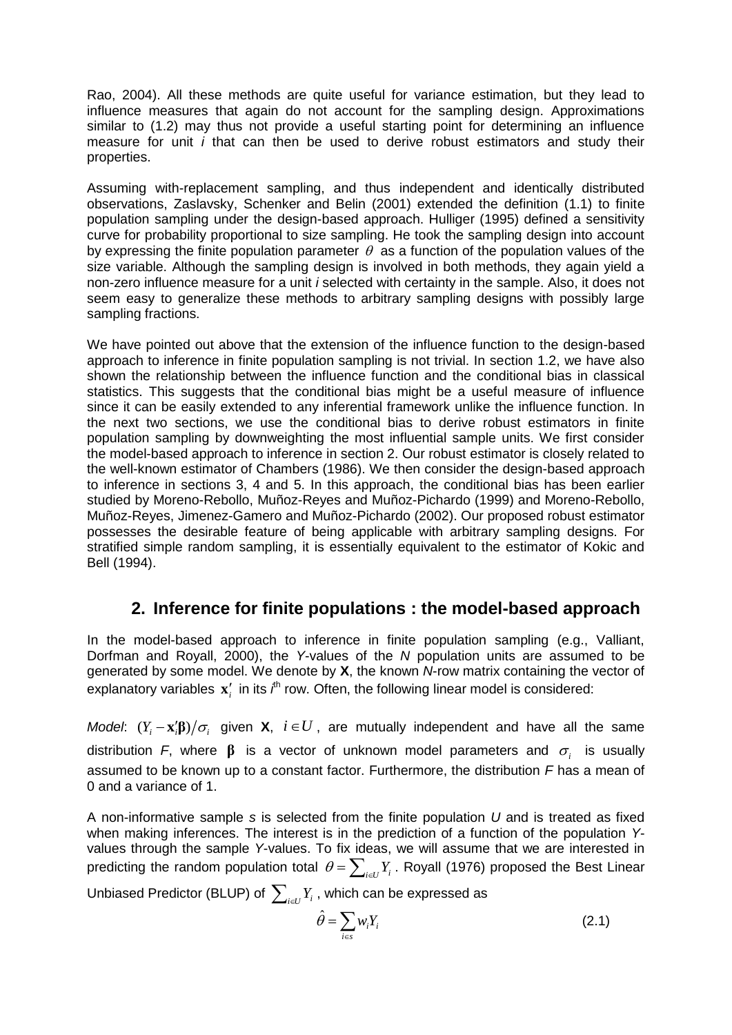Rao, 2004). All these methods are quite useful for variance estimation, but they lead to influence measures that again do not account for the sampling design. Approximations similar to (1.2) may thus not provide a useful starting point for determining an influence measure for unit *i* that can then be used to derive robust estimators and study their properties.

Assuming with-replacement sampling, and thus independent and identically distributed observations, Zaslavsky, Schenker and Belin (2001) extended the definition (1.1) to finite population sampling under the design-based approach. Hulliger (1995) defined a sensitivity curve for probability proportional to size sampling. He took the sampling design into account by expressing the finite population parameter  $\theta$  as a function of the population values of the size variable. Although the sampling design is involved in both methods, they again yield a non-zero influence measure for a unit *i* selected with certainty in the sample. Also, it does not seem easy to generalize these methods to arbitrary sampling designs with possibly large sampling fractions.

We have pointed out above that the extension of the influence function to the design-based approach to inference in finite population sampling is not trivial. In section 1.2, we have also shown the relationship between the influence function and the conditional bias in classical statistics. This suggests that the conditional bias might be a useful measure of influence since it can be easily extended to any inferential framework unlike the influence function. In the next two sections, we use the conditional bias to derive robust estimators in finite population sampling by downweighting the most influential sample units. We first consider the model-based approach to inference in section 2. Our robust estimator is closely related to the well-known estimator of Chambers (1986). We then consider the design-based approach to inference in sections 3, 4 and 5. In this approach, the conditional bias has been earlier studied by Moreno-Rebollo, Muñoz-Reyes and Muñoz-Pichardo (1999) and Moreno-Rebollo, Muñoz-Reyes, Jimenez-Gamero and Muñoz-Pichardo (2002). Our proposed robust estimator possesses the desirable feature of being applicable with arbitrary sampling designs. For stratified simple random sampling, it is essentially equivalent to the estimator of Kokic and Bell (1994).

# **2. Inference for finite populations : the model-based approach**

In the model-based approach to inference in finite population sampling (e.g., Valliant, Dorfman and Royall, 2000), the *Y*-values of the *N* population units are assumed to be generated by some model. We denote by **X**, the known *N*-row matrix containing the vector of explanatory variables  $\mathbf{x}'_i$  in its  $i^{\text{th}}$  row. Often, the following linear model is considered:

*Model*:  $(Y_i - \mathbf{x}_i' \mathbf{\beta})/\sigma_i$  given **X**,  $i \in U$ , are mutually independent and have all the same distribution F, where  $\beta$  is a vector of unknown model parameters and  $\sigma_i$  is usually assumed to be known up to a constant factor. Furthermore, the distribution *F* has a mean of 0 and a variance of 1.

A non-informative sample *s* is selected from the finite population *U* and is treated as fixed when making inferences. The interest is in the prediction of a function of the population *Y*values through the sample *Y*-values. To fix ideas, we will assume that we are interested in predicting the random population total  $\theta = \sum_{i \in U} Y_i$ . Royall (1976) proposed the Best Linear

Unbiased Predictor (BLUP) of  $\sum_{i\in U}Y_i$  , which can be expressed as

$$
\hat{\theta} = \sum_{i \in s} w_i Y_i \tag{2.1}
$$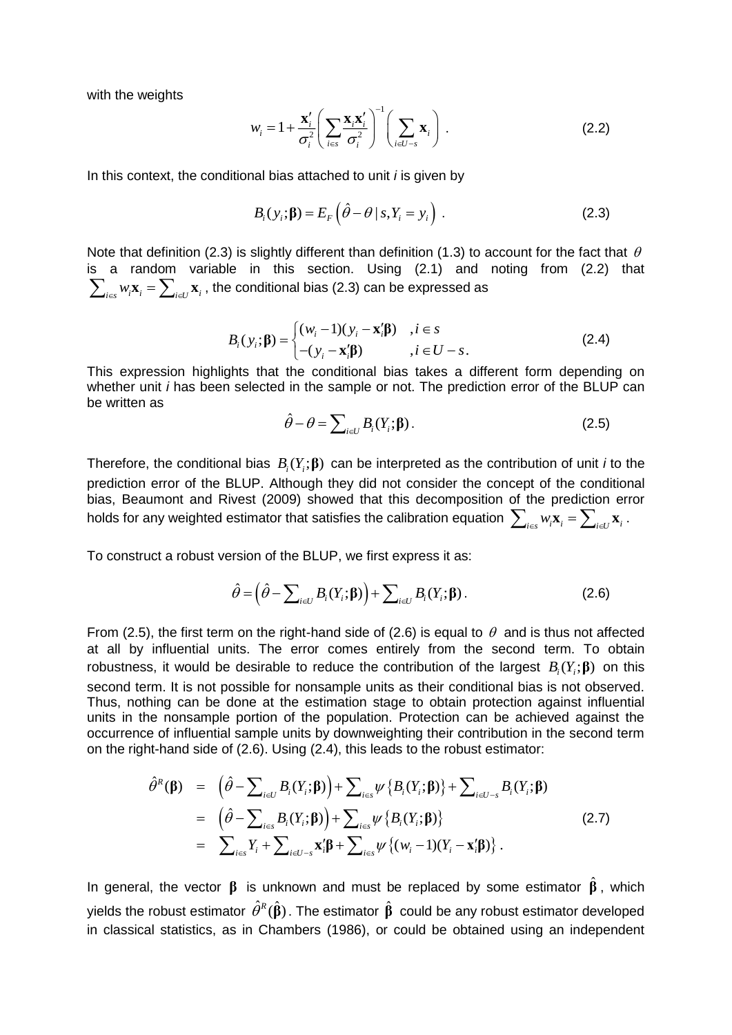with the weights

$$
w_i = 1 + \frac{\mathbf{x}_i'}{\sigma_i^2} \left( \sum_{i \in s} \frac{\mathbf{x}_i \mathbf{x}_i'}{\sigma_i^2} \right)^{-1} \left( \sum_{i \in U - s} \mathbf{x}_i \right).
$$
 (2.2)

In this context, the conditional bias attached to unit *i* is given by

$$
B_i(y_i; \mathbf{\beta}) = E_F(\hat{\theta} - \theta \mid s, Y_i = y_i).
$$
 (2.3)

Note that definition (2.3) is slightly different than definition (1.3) to account for the fact that  $\theta$ is a random variable in this section. Using (2.1) and noting from (2.2) that  $\sum_{i \in S} w_i$ **x**<sub>i</sub> =  $\sum_{i \in U}$ **x**<sub>i</sub>, the conditional bias (2.3) can be expressed as

$$
B_i(y_i; \mathbf{\beta}) = \begin{cases} (w_i - 1)(y_i - \mathbf{x}_i' \mathbf{\beta}) & i \in \mathcal{S} \\ -(y_i - \mathbf{x}_i' \mathbf{\beta}) & i \in U - \mathcal{S}. \end{cases} \tag{2.4}
$$

This expression highlights that the conditional bias takes a different form depending on whether unit *i* has been selected in the sample or not. The prediction error of the BLUP can be written as

$$
\hat{\theta} - \theta = \sum_{i \in U} B_i(Y_i; \mathbf{\beta}). \tag{2.5}
$$

Therefore, the conditional bias  $B_i(Y_i; \boldsymbol{\beta})$  can be interpreted as the contribution of unit *i* to the prediction error of the BLUP. Although they did not consider the concept of the conditional bias, Beaumont and Rivest (2009) showed that this decomposition of the prediction error holds for any weighted estimator that satisfies the calibration equation  $\sum_{i\in s}w_i\mathbf{x}_i=\sum_{i\in U}\mathbf{x}_i$  .

To construct a robust version of the BLUP, we first express it as:

$$
\hat{\theta} = \left(\hat{\theta} - \sum_{i \in U} B_i(Y_i; \boldsymbol{\beta})\right) + \sum_{i \in U} B_i(Y_i; \boldsymbol{\beta}).
$$
\n(2.6)

From (2.5), the first term on the right-hand side of (2.6) is equal to  $\theta$  and is thus not affected at all by influential units. The error comes entirely from the second term. To obtain robustness, it would be desirable to reduce the contribution of the largest  $B_i(Y_i; \beta)$  on this second term. It is not possible for nonsample units as their conditional bias is not observed. Thus, nothing can be done at the estimation stage to obtain protection against influential units in the nonsample portion of the population. Protection can be achieved against the occurrence of influential sample units by downweighting their contribution in the second term on the right-hand side of (2.6). Using (2.4), this leads to the robust estimator:

$$
\hat{\theta}^{R}(\boldsymbol{\beta}) = (\hat{\theta} - \sum_{i \in U} B_{i}(Y_{i}; \boldsymbol{\beta})) + \sum_{i \in S} \psi \{B_{i}(Y_{i}; \boldsymbol{\beta})\} + \sum_{i \in U-S} B_{i}(Y_{i}; \boldsymbol{\beta})
$$
\n
$$
= (\hat{\theta} - \sum_{i \in S} B_{i}(Y_{i}; \boldsymbol{\beta})) + \sum_{i \in S} \psi \{B_{i}(Y_{i}; \boldsymbol{\beta})\}
$$
\n
$$
= \sum_{i \in S} Y_{i} + \sum_{i \in U-S} \mathbf{x}_{i}' \boldsymbol{\beta} + \sum_{i \in S} \psi \{ (w_{i} - 1)(Y_{i} - \mathbf{x}_{i}' \boldsymbol{\beta}) \}.
$$
\n(2.7)

In general, the vector  $\beta$  is unknown and must be replaced by some estimator  $\hat{\beta}$ , which yields the robust estimator  $\hat{\theta}^{\scriptscriptstyle R}(\hat{\bf p})$ . The estimator  $\hat{\bf p}$  could be any robust estimator developed in classical statistics, as in Chambers (1986), or could be obtained using an independent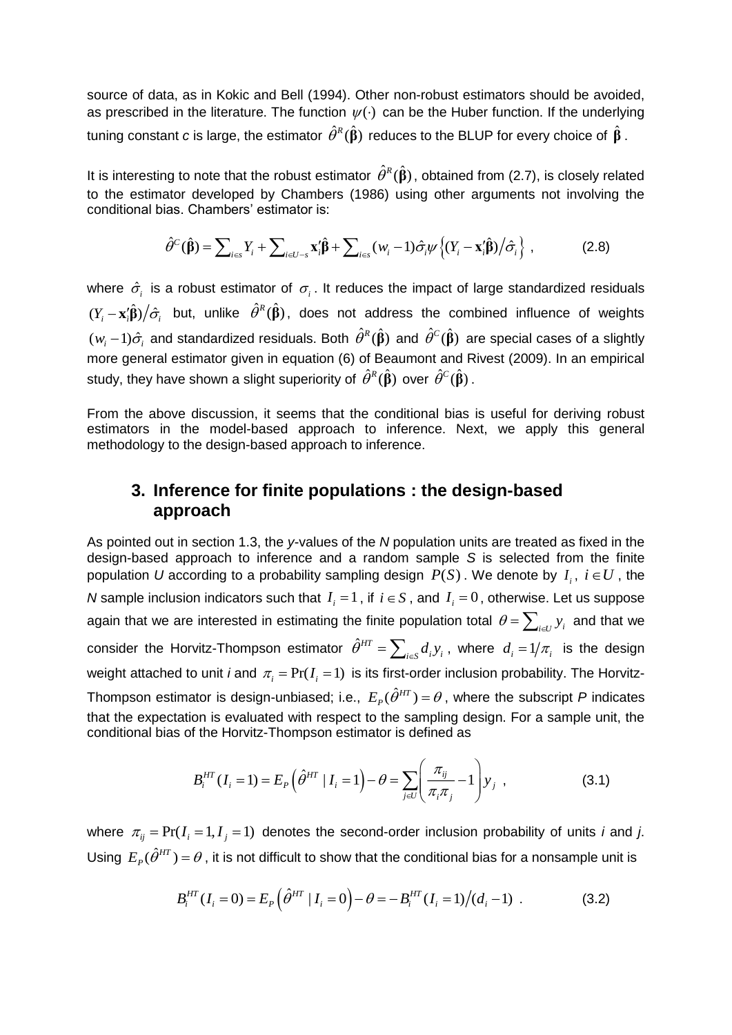source of data, as in Kokic and Bell (1994). Other non-robust estimators should be avoided, as prescribed in the literature. The function  $\psi(\cdot)$  can be the Huber function. If the underlying tuning constant *c* is large, the estimator  $\hat{\theta}^{\scriptscriptstyle R}(\hat{\bfbeta})$  reduces to the BLUP for every choice of  $\hat{\bfbeta}$  .

It is interesting to note that the robust estimator  $\hat{\theta}^R(\hat{\beta})$ , obtained from (2.7), is closely related to the estimator developed by Chambers (1986) using other arguments not involving the conditional bias. Chambers' estimator is:

$$
\hat{\theta}^C(\hat{\boldsymbol{\beta}}) = \sum_{i \in S} Y_i + \sum_{i \in U - S} \mathbf{x}_i' \hat{\boldsymbol{\beta}} + \sum_{i \in S} (w_i - 1) \hat{\sigma}_i \psi \left\{ (Y_i - \mathbf{x}_i' \hat{\boldsymbol{\beta}}) / \hat{\sigma}_i \right\},\tag{2.8}
$$

where  $\hat{\sigma}_i$  is a robust estimator of  $\sigma_i$ . It reduces the impact of large standardized residuals  $(Y_i - \mathbf{x}_i' \hat{\boldsymbol{\beta}})/\hat{\sigma}_i$  but, unlike  $\hat{\theta}^R(\hat{\boldsymbol{\beta}})$ , does not address the combined influence of weights  $(w_i-1)\hat{\sigma}_i$  and standardized residuals. Both  $\hat{\theta}^{\kappa}(\hat{\bf B})$  and  $\hat{\theta}^C(\hat{\bf B})$  are special cases of a slightly more general estimator given in equation (6) of Beaumont and Rivest (2009). In an empirical study, they have shown a slight superiority of  $\hat{\theta}^{\scriptscriptstyle R}(\hat{\bf B})$  over  $\hat{\theta}^{\scriptscriptstyle C}(\hat{\bf B})$  .

From the above discussion, it seems that the conditional bias is useful for deriving robust estimators in the model-based approach to inference. Next, we apply this general methodology to the design-based approach to inference.

# **3. Inference for finite populations : the design-based approach**

As pointed out in section 1.3, the *y*-values of the *N* population units are treated as fixed in the design-based approach to inference and a random sample *S* is selected from the finite population U according to a probability sampling design  $P(S)$  . We denote by  $I_i$ ,  $i \in U$  , the *N* sample inclusion indicators such that  $I_i = 1$ , if  $i \in S$ , and  $I_i = 0$ , otherwise. Let us suppose again that we are interested in estimating the finite population total  $\theta\!=\!\sum_{i\in U}^{}y_i^{}$  and that we consider the Horvitz-Thompson estimator  $\hat{\theta}^{H}$  $\hat{\theta}^{HT} = \sum_{i \in \mathcal{S}} d^{}_i y^{}_i$ , where  $d^{}_i = 1/\pi^{}_i$  is the design weight attached to unit *i* and  $\pi_i = \Pr(I_i = 1)$  is its first-order inclusion probability. The Horvitz-Thompson estimator is design-unbiased; i.e.,  $E_p(\hat{\theta}^{HT}) = \theta$ , where the subscript P indicates that the expectation is evaluated with respect to the sampling design. For a sample unit, the conditional bias of the Horvitz-Thompson estimator is defined as

$$
B_i^{HT}(I_i = 1) = E_P\left(\hat{\theta}^{HT} | I_i = 1\right) - \theta = \sum_{j \in U} \left(\frac{\pi_{ij}}{\pi_i \pi_j} - 1\right) y_j,
$$
 (3.1)

where  $\pi_{ij} = \Pr(I_i = 1, I_j = 1)$  denotes the second-order inclusion probability of units *i* and *j*. Using  $E_p(\hat{\theta}^{HT}) = \theta$  , it is not difficult to show that the conditional bias for a nonsample unit is

$$
B_i^{HT}(I_i = 0) = E_p \left( \hat{\theta}^{HT} \mid I_i = 0 \right) - \theta = -B_i^{HT}(I_i = 1) / (d_i - 1) \tag{3.2}
$$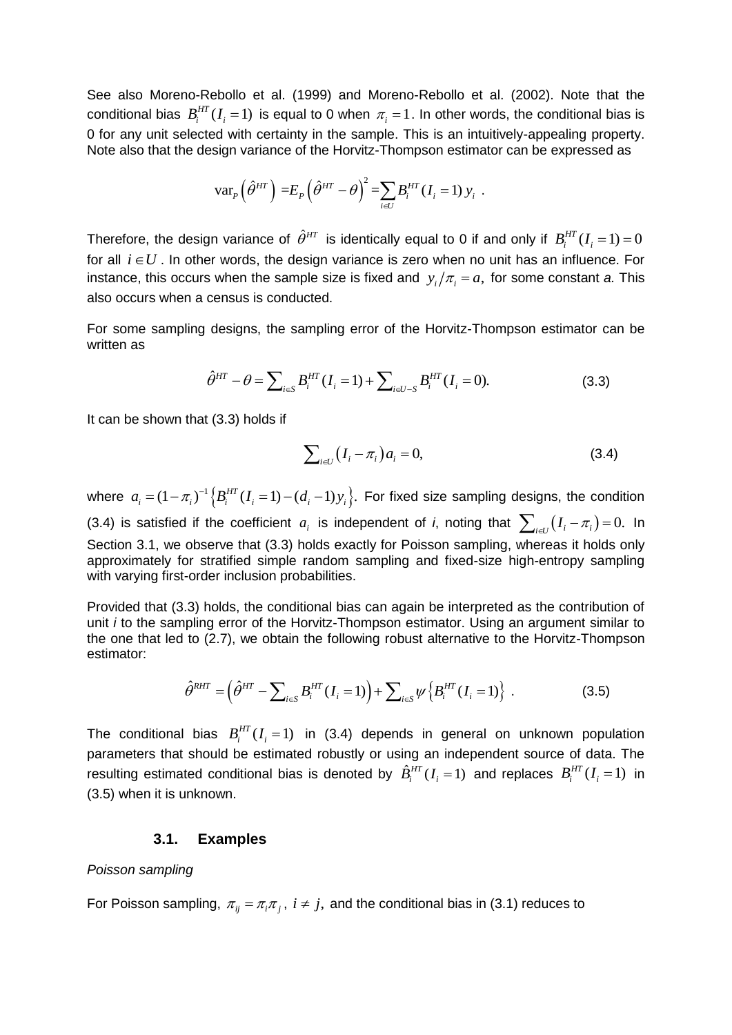See also Moreno-Rebollo et al. (1999) and Moreno-Rebollo et al. (2002). Note that the conditional bias  $B_i^{HT}(I_i=1)$  is equal to 0 when  $\pi_i=1$ . In other words, the conditional bias is 0 for any unit selected with certainty in the sample. This is an intuitively-appealing property. Note also that the design variance of the Horvitz-Thompson estimator can be expressed as

$$
\text{var}_P\left(\hat{\theta}^{HT}\right) = E_P\left(\hat{\theta}^{HT} - \theta\right)^2 = \sum_{i \in U} B_i^{HT} (I_i = 1) y_i.
$$

Therefore, the design variance of  $\hat{\theta}^{HT}$  is identically equal to 0 if and only if  $B_i^{HT}(I_i=1)=0$ for all  $i \in U$ . In other words, the design variance is zero when no unit has an influence. For instance, this occurs when the sample size is fixed and  $y_i / \pi_i = a$ , for some constant *a*. This also occurs when a census is conducted.

For some sampling designs, the sampling error of the Horvitz-Thompson estimator can be written as

$$
\hat{\theta}^{HT} - \theta = \sum_{i \in S} B_i^{HT} (I_i = 1) + \sum_{i \in U - S} B_i^{HT} (I_i = 0).
$$
 (3.3)

It can be shown that (3.3) holds if

$$
\sum_{i\in U}\left(I_i-\pi_i\right)a_i=0,\tag{3.4}
$$

where  $a_i = (1 - \pi_i)^{-1} \left\{ B_i^{HT} (I_i = 1) - (d_i - 1) y_i \right\}$ . For fixed size sampling designs, the condition (3.4) is satisfied if the coefficient  $a_i$  is independent of *i*, noting that  $\sum_{i\in U}(I_i-\pi_i)=0$ . In Section 3.1, we observe that (3.3) holds exactly for Poisson sampling, whereas it holds only approximately for stratified simple random sampling and fixed-size high-entropy sampling with varying first-order inclusion probabilities.

Provided that (3.3) holds, the conditional bias can again be interpreted as the contribution of unit *i* to the sampling error of the Horvitz-Thompson estimator. Using an argument similar to the one that led to (2.7), we obtain the following robust alternative to the Horvitz-Thompson estimator:

$$
\hat{\theta}^{RHT} = (\hat{\theta}^{HT} - \sum_{i \in S} B_i^{HT} (I_i = 1)) + \sum_{i \in S} \psi \{ B_i^{HT} (I_i = 1) \}.
$$
 (3.5)

The conditional bias  $B_i^{HT}(I_i=1)$  in (3.4) depends in general on unknown population parameters that should be estimated robustly or using an independent source of data. The resulting estimated conditional bias is denoted by  $\hat{B}_i^{HT}(I_i=1)$  and replaces  $B_i^{HT}(I_i=1)$  in (3.5) when it is unknown.

#### **3.1. Examples**

#### *Poisson sampling*

For Poisson sampling,  $\pi_{ij}$  =  $\pi_i \pi_j$ ,  $i \neq j$ , and the conditional bias in (3.1) reduces to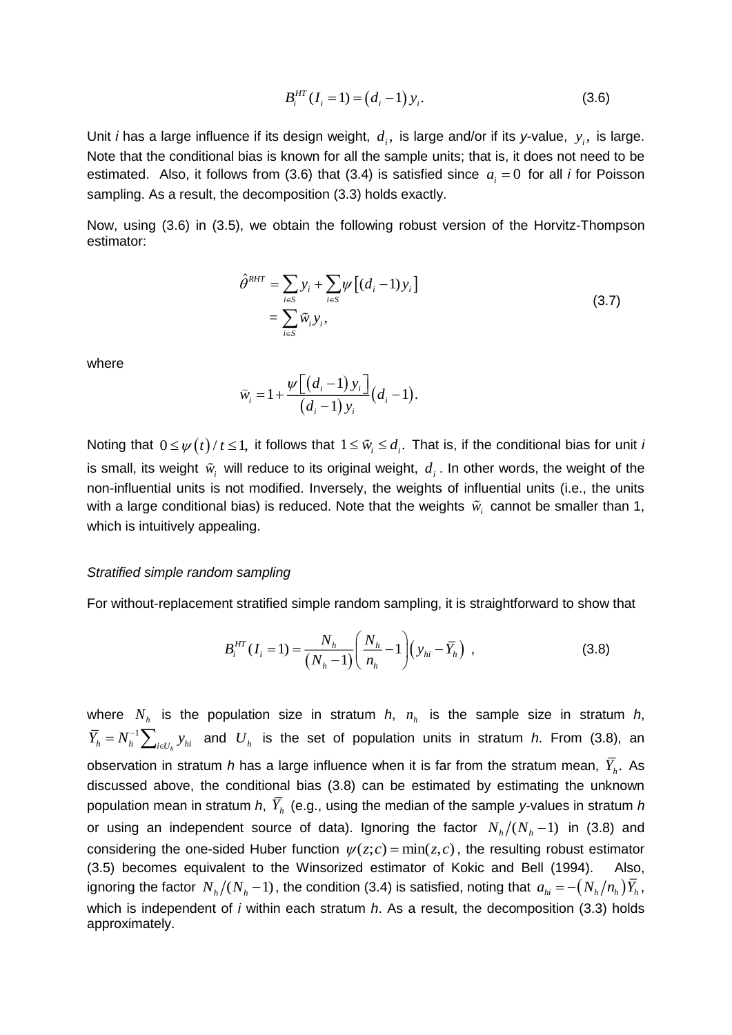$$
B_i^{HT}(I_i = 1) = (d_i - 1) y_i.
$$
 (3.6)

Unit *i* has a large influence if its design weight,  $d_i$ , is large and/or if its *y*-value,  $y_i$ , is large. Note that the conditional bias is known for all the sample units; that is, it does not need to be estimated. Also, it follows from (3.6) that (3.4) is satisfied since  $a_i = 0$  for all *i* for Poisson sampling. As a result, the decomposition (3.3) holds exactly.

Now, using (3.6) in (3.5), we obtain the following robust version of the Horvitz-Thompson estimator:

$$
\hat{\theta}^{RHT} = \sum_{i \in S} y_i + \sum_{i \in S} \psi \left[ (d_i - 1) y_i \right]
$$
\n
$$
= \sum_{i \in S} \tilde{w}_i y_i,
$$
\n(3.7)

where

$$
\widetilde{w}_i = 1 + \frac{\psi\big[\big(d_i-1\big)y_i\big]}{\big(d_i-1\big)y_i}\big(d_i-1\big).
$$

Noting that  $0\!\leq\!\psi\!\left(t\right)\!/\,t\!\leq\!1$ , it follows that  $1\!\leq\!{\tilde{w}}_i\!\leq\!d_i.$  That is, if the conditional bias for unit  $\iota$ is small, its weight  $\tilde{w}_i$  will reduce to its original weight,  $d_i$ . In other words, the weight of the non-influential units is not modified. Inversely, the weights of influential units (i.e., the units with a large conditional bias) is reduced. Note that the weights  $\tilde{w}_i$  cannot be smaller than 1, which is intuitively appealing.

#### *Stratified simple random sampling*

For without-replacement stratified simple random sampling, it is straightforward to show that

$$
B_i^{HT}(I_i = 1) = \frac{N_h}{(N_h - 1)} \left( \frac{N_h}{n_h} - 1 \right) \left( y_{hi} - \overline{Y}_h \right) , \qquad (3.8)
$$

where  $N_h$  is the population size in stratum  $h$ ,  $n_h$  is the sample size in stratum  $h$ , 1  $\bar{Y}_h = N_h^{-1} \sum_{i \in U_h} y_{hi}$  and  $U_h$  is the set of population units in stratum *h*. From (3.8), an observation in stratum *h* has a large influence when it is far from the stratum mean,  $Y_h$ . As discussed above, the conditional bias (3.8) can be estimated by estimating the unknown population mean in stratum *h*, *Y<sup>h</sup>* (e.g., using the median of the sample *y*-values in stratum *h* or using an independent source of data). Ignoring the factor  $N_h/(N_h-1)$  in (3.8) and considering the one-sided Huber function  $\psi(z;c) = \min(z,c)$ , the resulting robust estimator (3.5) becomes equivalent to the Winsorized estimator of Kokic and Bell (1994). Also, ignoring the factor  $\,N_h/(N_h-1)$  , the condition (3.4) is satisfied, noting that  $\,a_{hi}=-(N_h/n_h)\bar{Y_h}$  , which is independent of *i* within each stratum *h*. As a result, the decomposition (3.3) holds approximately.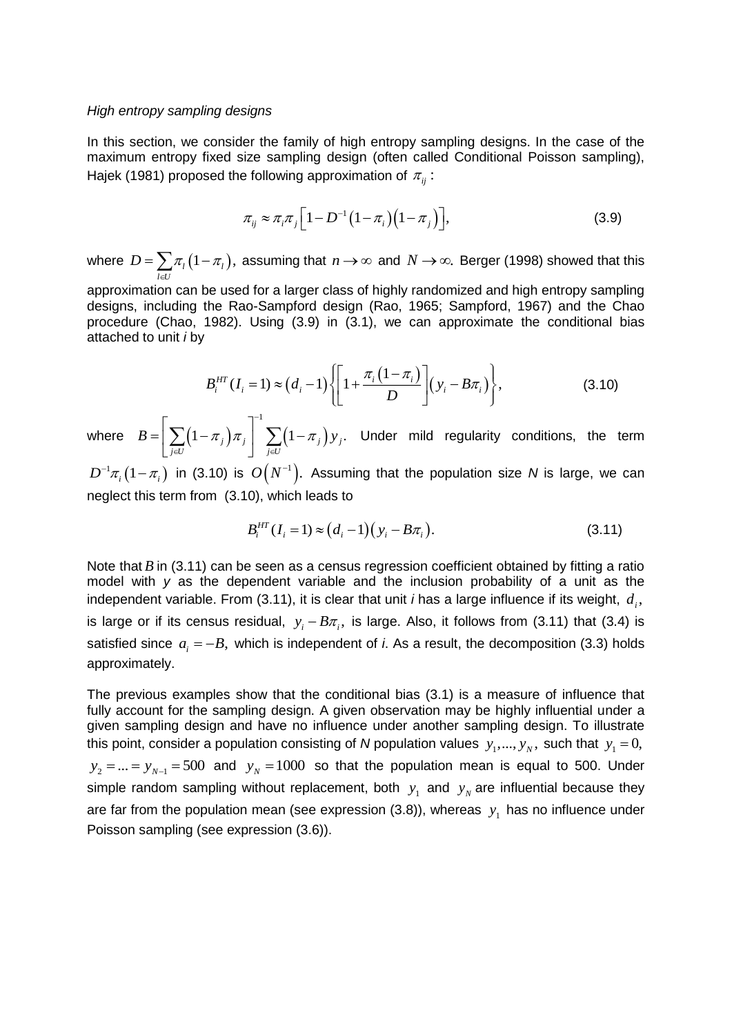#### *High entropy sampling designs*

In this section, we consider the family of high entropy sampling designs. In the case of the maximum entropy fixed size sampling design (often called Conditional Poisson sampling), Hajek (1981) proposed the following approximation of  $\pi_{_{ij}}$  :

$$
\pi_{ij} \approx \pi_i \pi_j \left[1 - D^{-1} \left(1 - \pi_i\right) \left(1 - \pi_j\right)\right],\tag{3.9}
$$

where  $D = \sum \pi_i (1 - \pi_i),$ *l U*  $D = \sum \pi_i (1 - \pi_i)$  $=\sum_{l\in U}\pi_{l}\left(1-\pi_{l}\right)$ , assuming that  $n\rightarrow\infty$  and  $N\rightarrow\infty$ . Berger (1998) showed that this

approximation can be used for a larger class of highly randomized and high entropy sampling designs, including the Rao-Sampford design (Rao, 1965; Sampford, 1967) and the Chao procedure (Chao, 1982). Using (3.9) in (3.1), we can approximate the conditional bias attached to unit *i* by

$$
B_i^{HT}(I_i = 1) \approx (d_i - 1) \left\{ \left[ 1 + \frac{\pi_i (1 - \pi_i)}{D} \right] (y_i - B\pi_i) \right\},
$$
 (3.10)

where  $B = \left| \sum (1 - \pi_j) \pi_j \right| / \sum (1 - \pi_j)$ 1  $(1 - \pi_{j}) \pi_{j} \left| \right. \sum (1 - \pi_{j}) y_{j}.$ *j U j U*  $B = |\sum (1 - \pi_i) \pi_i| \sum (1 - \pi_i) y$ Ξ EU 1 E  $\lceil$  $=\left[\sum_{j\in U}\left(1-\pi_j\right)\pi_j\right]\sum_{j\in U}\left(1-\pi_j\right)y_j$ . Under mild regularity conditions, the term

 $D^{-1}\pi_i\big(1-\pi_i\big)$  in (3.10) is  $O\big(N^{-1}\big).$  Assuming that the population size  $N$  is large, we can neglect this term from (3.10), which leads to

$$
B_i^{HT}(I_i = 1) \approx (d_i - 1)(y_i - B\pi_i).
$$
 (3.11)

Note that *B* in (3.11) can be seen as a census regression coefficient obtained by fitting a ratio model with *y* as the dependent variable and the inclusion probability of a unit as the independent variable. From (3.11), it is clear that unit *i* has a large influence if its weight,  $d_i$ , is large or if its census residual,  $y_i - B\pi_i$ , is large. Also, it follows from (3.11) that (3.4) is satisfied since  $a_i = -B$ , which is independent of *i*. As a result, the decomposition (3.3) holds approximately.

The previous examples show that the conditional bias (3.1) is a measure of influence that fully account for the sampling design. A given observation may be highly influential under a given sampling design and have no influence under another sampling design. To illustrate this point, consider a population consisting of *N* population values  $y_1, ..., y_N$ , such that  $y_1 = 0$ ,  $y_2 = ... = y_{N-1} = 500$  and  $y_N = 1000$  so that the population mean is equal to 500. Under simple random sampling without replacement, both  $y_1$  and  $y_N$  are influential because they are far from the population mean (see expression (3.8)), whereas  $y_1$  has no influence under Poisson sampling (see expression (3.6)).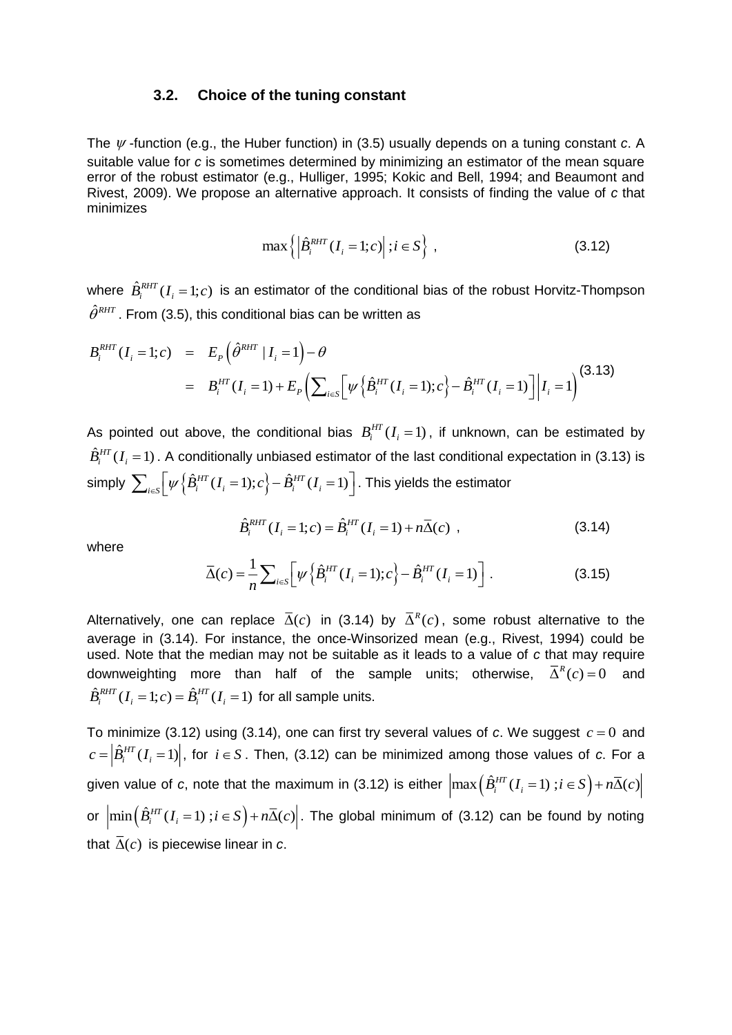#### **3.2. Choice of the tuning constant**

The  $\psi$  -function (e.g., the Huber function) in (3.5) usually depends on a tuning constant  $c$ . A suitable value for *c* is sometimes determined by minimizing an estimator of the mean square error of the robust estimator (e.g., Hulliger, 1995; Kokic and Bell, 1994; and Beaumont and Rivest, 2009). We propose an alternative approach. It consists of finding the value of *c* that minimizes

$$
\max\left\{\left|\hat{B}_{i}^{RHT}(I_{i}=1;c)\right|;i\in S\right\},\tag{3.12}
$$

where  $\hat{B}_{i}^{RHT}(I_i=1;c)$  is an estimator of the conditional bias of the robust Horvitz-Thompson  $\hat{\theta}^{\tiny{RHT}}$  . From (3.5), this conditional bias can be written as

$$
B_i^{RHT}(I_i = 1; c) = E_p(\hat{\theta}^{RHT} | I_i = 1) - \theta
$$
  
=  $B_i^{HT}(I_i = 1) + E_p(\sum_{i \in S} [\psi \{\hat{B}_i^{HT}(I_i = 1); c\} - \hat{B}_i^{HT}(I_i = 1)] | I_i = 1)$  (3.13)

As pointed out above, the conditional bias  $B_i^{HT}(I_i=1)$ , if unknown, can be estimated by  $\hat{B}^\text{\tiny HT}_i(I_i\!=\!1)$  . A conditionally unbiased estimator of the last conditional expectation in (3.13) is simply  $\sum_{i\in S} \Bigl[ \psi\Bigl\{ \hat B_i^{HT}(I_i=1);c \Bigr\} - \hat B_i^{HT}(I_i=1) \Bigr].$  This yields the estimator

$$
\hat{B}_{i}^{RHT}(I_{i} = 1; c) = \hat{B}_{i}^{HT}(I_{i} = 1) + n\overline{\Delta}(c) ,
$$
\n(3.14)

where

$$
\overline{\Delta}(c) = \frac{1}{n} \sum_{i \in S} \left[ \psi \left\{ \hat{B}_i^{HT}(I_i = 1); c \right\} - \hat{B}_i^{HT}(I_i = 1) \right]. \tag{3.15}
$$

Alternatively, one can replace  $\overline{\Delta}(c)$  in (3.14) by  $\overline{\Delta}^R(c)$ , some robust alternative to the average in (3.14). For instance, the once-Winsorized mean (e.g., Rivest, 1994) could be used. Note that the median may not be suitable as it leads to a value of *c* that may require downweighting more than half of the sample units; otherwise,  $\overline{\Delta}^R(c) = 0$  and  $\hat{B}_{i}^{RHT}(I_i=1;c) = \hat{B}_{i}^{HT}(I_i=1)$  for all sample units.

To minimize (3.12) using (3.14), one can first try several values of c. We suggest  $c = 0$  and  $c = \left| \hat{B}_i^{HT}(I_i=1) \right|$ , for  $i \in S$  . Then, (3.12) can be minimized among those values of  $c$ . For a given value of *c*, note that the maximum in (3.12) is either  $\left| \max \left( \hat{B}_{i}^{HT}(I_{i} = 1) : i \in S \right) + n\overline{\Delta}(c) \right|$ or  $\left| \min\left( \hat{B}^{HT}_i(I_i=1) : i \in S \right) + n\overline{\Delta}(c) \right|$ . The global minimum of (3.12) can be found by noting that  $\Delta(c)$  is piecewise linear in *c*.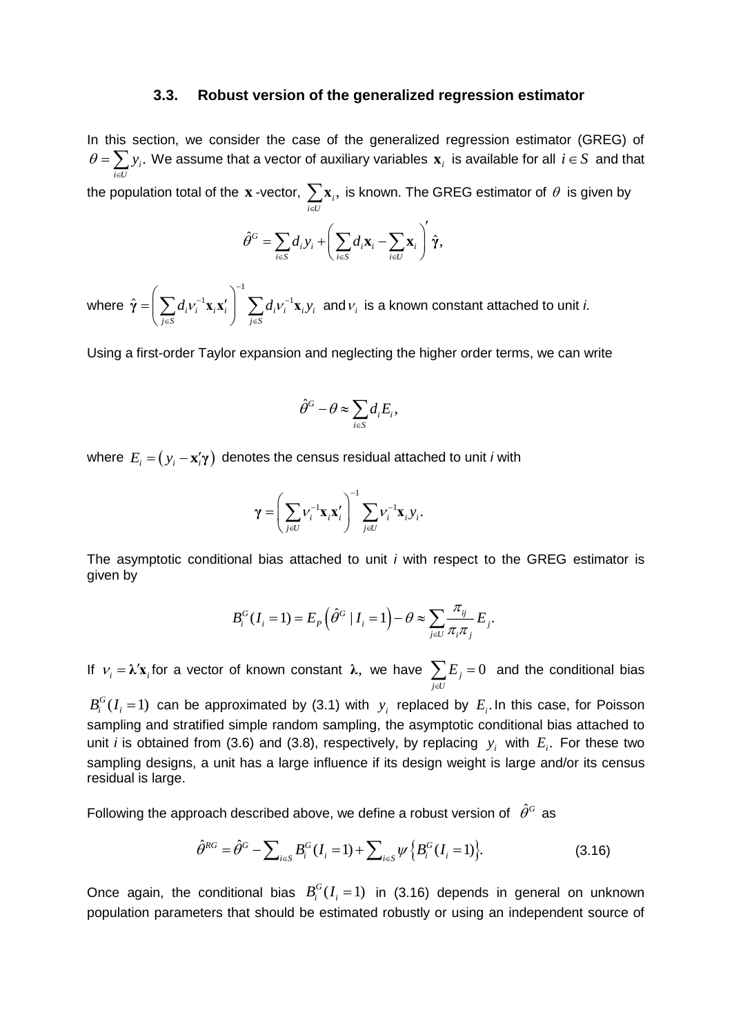#### **3.3. Robust version of the generalized regression estimator**

In this section, we consider the case of the generalized regression estimator (GREG) of  $\theta = \sum y_i$ . We assume that a vector of auxiliary variables  $\mathbf{x}_i$  is available for all  $i \in S$  and that  $i \in U$  $\in$ 

the population total of the  $\mathbf x$  -vector,  $\sum \mathbf x_i,$  $\sum_{i \in U} \mathbf{x}_i$ , is known. The GREG estimator of  $\,\theta\,$  is given by

$$
\hat{\theta}^G = \sum_{i \in S} d_i y_i + \left(\sum_{i \in S} d_i \mathbf{x}_i - \sum_{i \in U} \mathbf{x}_i\right)' \hat{\boldsymbol{\gamma}},
$$

where  $\hat{\pmb{\gamma}} = \left( \sum d_i \mathbf{\mathcal{V}}_i^{-1} \mathbf{x}_i \mathbf{x}_i' \right)^{-1} \sum d_i \mathbf{\mathcal{V}}_i^{-1} \mathbf{x}_i \mathbf{y}_i$  $\left( \sum_{j \in S} a_i^j v_j^i \right)$   $\left( \sum_{j \in S} a_j^j v_j^j \right)$  $d_i v_i^{-1} \mathbf{x}_i \mathbf{x}_i'$ <sup>-1</sup> $\sum d_i v_i^{-1} \mathbf{x}_i y$  $\left(\frac{\alpha_i}{s} \cdot i \cdot \frac{\alpha_i}{s} \cdot i\right)$   $\left(\frac{\alpha_i}{s} \cdot j \right)$  $=\left(\sum_{i}d_{i}v_{i}^{-1}\mathbf{x}_{i}\mathbf{x}'_{i}\right)^{-1}\sum_{i}$  $\hat{\pmb{\gamma}} = \left(\sum_{j\in S} d_i \mathbf{\nu}_i^{-1} \mathbf{x}_i \mathbf{x}_i'\right)^{-1} \sum_{j\in S} d_i \mathbf{\nu}_i^{-1} \mathbf{x}_i \mathbf{y}_i\ \ \text{and}\ \mathbf{\nu}_i\ \ \text{is a known constant attached to unit } i.$ 

Using a first-order Taylor expansion and neglecting the higher order terms, we can write

$$
\hat{\theta}^G - \theta \approx \sum_{i \in S} d_i E_i,
$$

where  $E_i = (y_i - \mathbf{x}_i^{\prime} \boldsymbol{\gamma})$  denotes the census residual attached to unit *i* with

$$
\gamma = \left(\sum_{j\in U} V_i^{-1} \mathbf{x}_i \mathbf{x}_i'\right)^{-1} \sum_{j\in U} V_i^{-1} \mathbf{x}_i y_i.
$$

The asymptotic conditional bias attached to unit *i* with respect to the GREG estimator is given by

$$
B_i^G(I_i=1) = E_{\scriptscriptstyle P}\left(\hat{\theta}^G \,|\, I_i=1\right) - \theta \approx \sum_{j\in U} \frac{\pi_{ij}}{\pi_{i}\pi_{j}}\,E_j.
$$

If  $ν_i = λ' \mathbf{x}_i$  for a vector of known constant λ, we have  $\sum E_j = 0$ *j U*  $\sum E_j = 0$  and the conditional bias ⋴

 $B_i^G(I_i=1)$  can be approximated by (3.1) with  $y_i$  replaced by  $E_i$ . In this case, for Poisson sampling and stratified simple random sampling, the asymptotic conditional bias attached to unit *i* is obtained from (3.6) and (3.8), respectively, by replacing  $y_i$  with  $E_i$ . For these two sampling designs, a unit has a large influence if its design weight is large and/or its census residual is large.

Following the approach described above, we define a robust version of  $\hat{\theta}^{\scriptscriptstyle G}$  as

$$
\hat{\theta}^{RG} = \hat{\theta}^G - \sum_{i \in S} B_i^G(I_i = 1) + \sum_{i \in S} \psi \{ B_i^G(I_i = 1) \}.
$$
 (3.16)

Once again, the conditional bias  $B_i^G(I_i=1)$  in (3.16) depends in general on unknown population parameters that should be estimated robustly or using an independent source of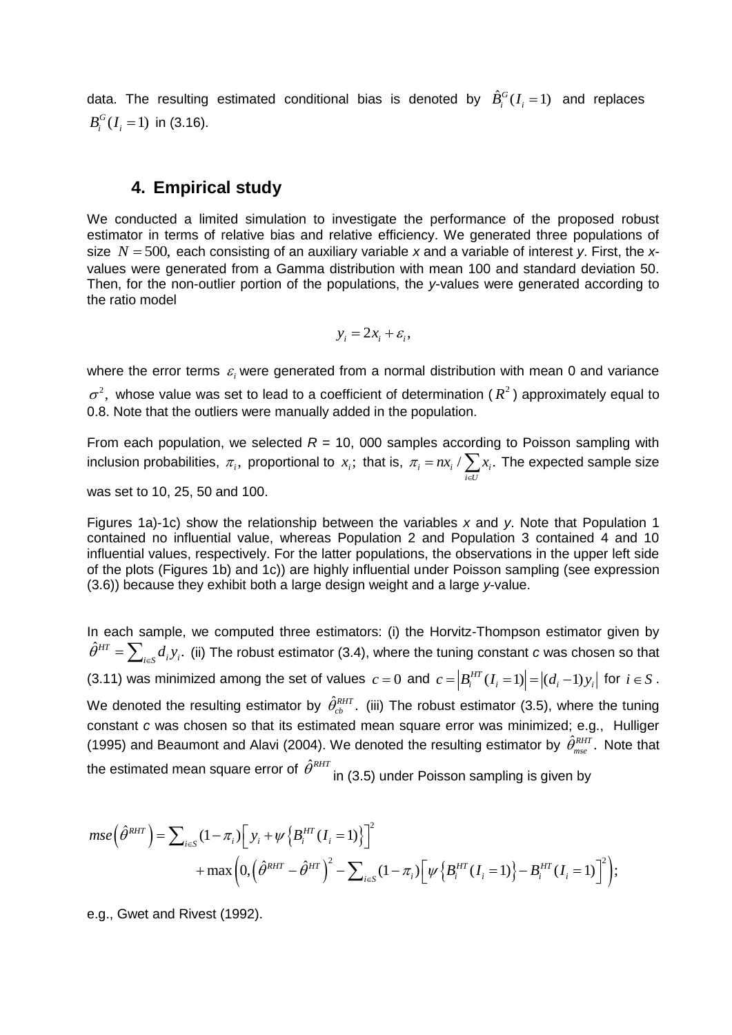data. The resulting estimated conditional bias is denoted by  $\hat{B}_i^G(I_i=1)$  and replaces  $B_i^G(I_i = 1)$  in (3.16).

# **4. Empirical study**

We conducted a limited simulation to investigate the performance of the proposed robust estimator in terms of relative bias and relative efficiency. We generated three populations of size *N* = 500, each consisting of an auxiliary variable *x* and a variable of interest *y*. First, the *x*values were generated from a Gamma distribution with mean 100 and standard deviation 50. Then, for the non-outlier portion of the populations, the *y*-values were generated according to the ratio model

$$
y_i = 2x_i + \varepsilon_i,
$$

where the error terms  $\varepsilon_i$  were generated from a normal distribution with mean 0 and variance  $\sigma^2$ , whose value was set to lead to a coefficient of determination ( $R^2$ ) approximately equal to 0.8. Note that the outliers were manually added in the population.

From each population, we selected  $R = 10$ , 000 samples according to Poisson sampling with inclusion probabilities,  $\pi$ , proportional to  $x$ ,; that is,  $\pi$ <sub>i</sub> = n $x$ , /  $\sum x$ ,. *i U*  $\pi = nx \rightarrow x$ ⋴ =  $nx_i$  /  $\sum x_i$ . The expected sample size

was set to 10, 25, 50 and 100.

Figures 1a)-1c) show the relationship between the variables *x* and *y*. Note that Population 1 contained no influential value, whereas Population 2 and Population 3 contained 4 and 10 influential values, respectively. For the latter populations, the observations in the upper left side of the plots (Figures 1b) and 1c)) are highly influential under Poisson sampling (see expression (3.6)) because they exhibit both a large design weight and a large *y*-value.

In each sample, we computed three estimators: (i) the Horvitz-Thompson estimator given by  $\hat{\theta}^{HT}=\sum_{i\in\mathcal{S}}d_{i}y_{i}.$  (ii) The robust estimator (3.4), where the tuning constant *c* was chosen so that (3.11) was minimized among the set of values  $c = 0$  and  $c = |B_i^{HT}(I_i = 1)| = |(d_i - 1)y_i|$  for  $i \in S$ . We denoted the resulting estimator by  $\hat{\theta}_{cb}^{RHT}$ . (iii) The robust estimator (3.5), where the tuning constant *c* was chosen so that its estimated mean square error was minimized; e.g., Hulliger (1995) and Beaumont and Alavi (2004). We denoted the resulting estimator by  $\hat{\theta}_{mse}^{RHT}$ . Note that

the estimated mean square error of 
$$
\hat{\theta}^{RHT}
$$
 in (3.5) under Poisson sampling is given by  
\n
$$
mse\left(\hat{\theta}^{RHT}\right) = \sum_{i \in S} (1 - \pi_i) \left[ y_i + \psi \left\{ B_i^{HT} (I_i = 1) \right\} \right]^2 + \max \left( 0, \left( \hat{\theta}^{RHT} - \hat{\theta}^{HT} \right)^2 - \sum_{i \in S} (1 - \pi_i) \left[ \psi \left\{ B_i^{HT} (I_i = 1) \right\} - B_i^{HT} (I_i = 1) \right]^2 \right);
$$

e.g., Gwet and Rivest (1992).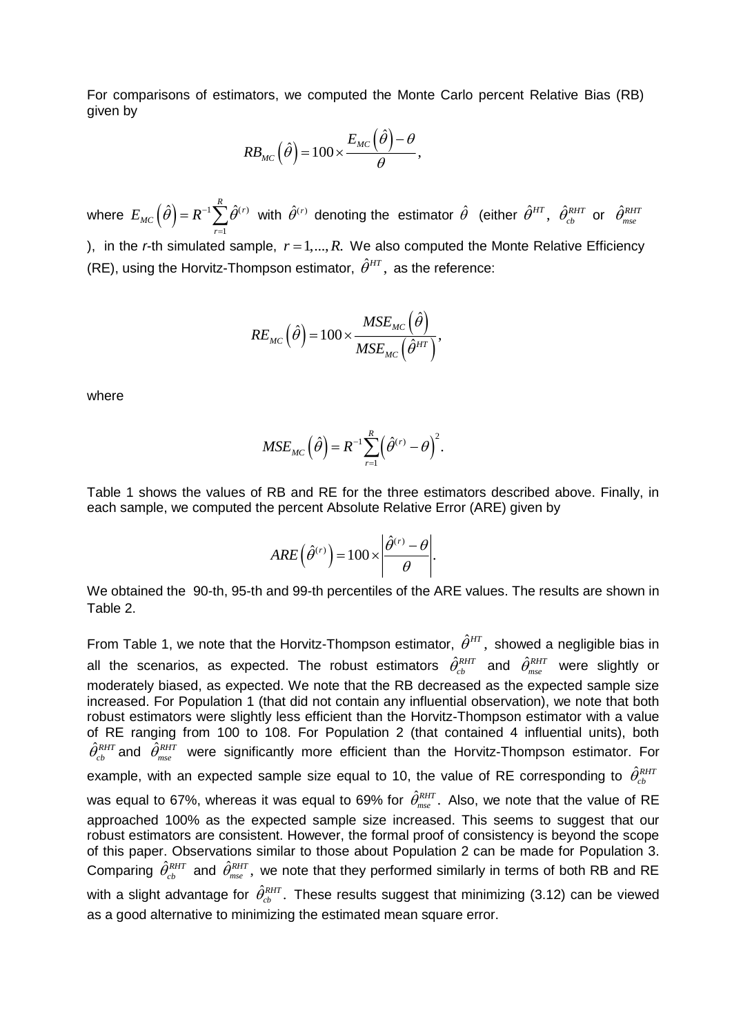For comparisons of estimators, we computed the Monte Carlo percent Relative Bias (RB) given by

$$
RB_{MC}(\hat{\theta}) = 100 \times \frac{E_{MC}(\hat{\theta}) - \theta}{\theta},
$$

where  $E_{MC}\left(\hat{\theta}\right)=R^{-1}\sum^R \hat{\theta}^{(r)}$  with  $\hat{\theta}^{(r)}$  denoting the estimator  $\hat{\theta}$  (either  $\hat{\theta}^{HT}$ ,  $\hat{\theta}^{RHT}_{cb}$  or  $\hat{\theta}^{RHT}_{mse}$ 1 *r* ), in the *r*-th simulated sample,  $r = 1, ..., R$ . We also computed the Monte Relative Efficiency (RE), using the Horvitz-Thompson estimator,  $\hat{\theta}^{HT}$ , as the reference:

$$
RE_{_{MC}}\Big(\hat{\theta}\Big) \!=\! 100\!\times\! \frac{MSE_{_{MC}}\Big(\hat{\theta}\Big)}{MSE_{_{MC}}\Big(\hat{\theta}^{HT}\Big)},
$$

where

$$
MSE_{MC}(\hat{\theta}) = R^{-1} \sum_{r=1}^{R} (\hat{\theta}^{(r)} - \theta)^2.
$$

Table 1 shows the values of RB and RE for the three estimators described above. Finally, in each sample, we computed the percent Absolute Relative Error (ARE) given by

$$
ARE(\hat{\theta}^{(r)}) = 100 \times \left| \frac{\hat{\theta}^{(r)} - \theta}{\theta} \right|.
$$

We obtained the 90-th, 95-th and 99-th percentiles of the ARE values. The results are shown in Table 2.

From Table 1, we note that the Horvitz-Thompson estimator,  $\hat{\theta}^{HT}$ , showed a negligible bias in all the scenarios, as expected. The robust estimators  $\hat{\theta}_{cb}^{RHT}$  and  $\hat{\theta}_{mse}^{RHT}$  were slightly or moderately biased, as expected. We note that the RB decreased as the expected sample size increased. For Population 1 (that did not contain any influential observation), we note that both robust estimators were slightly less efficient than the Horvitz-Thompson estimator with a value of RE ranging from 100 to 108. For Population 2 (that contained 4 influential units), both  $\hat{\theta}_{cb}^{RHT}$  and  $\hat{\theta}_{mse}^{RHT}$  were significantly more efficient than the Horvitz-Thompson estimator. For example, with an expected sample size equal to 10, the value of RE corresponding to  $\hat{\theta}_{cb}^{RHT}$ was equal to 67%, whereas it was equal to 69% for  $\hat{\theta}_{_{\!\!{\it mse}}}^{\scriptscriptstyle{RHT}}$ . Also, we note that the value of RE approached 100% as the expected sample size increased. This seems to suggest that our robust estimators are consistent. However, the formal proof of consistency is beyond the scope of this paper. Observations similar to those about Population 2 can be made for Population 3. Comparing  $\hat{\theta}_{cb}^{RHT}$  and  $\hat{\theta}_{mse}^{RHT}$ , we note that they performed similarly in terms of both RB and RE with a slight advantage for  $\hat{\theta}_{cb}^{RHT}$ . These results suggest that minimizing (3.12) can be viewed as a good alternative to minimizing the estimated mean square error.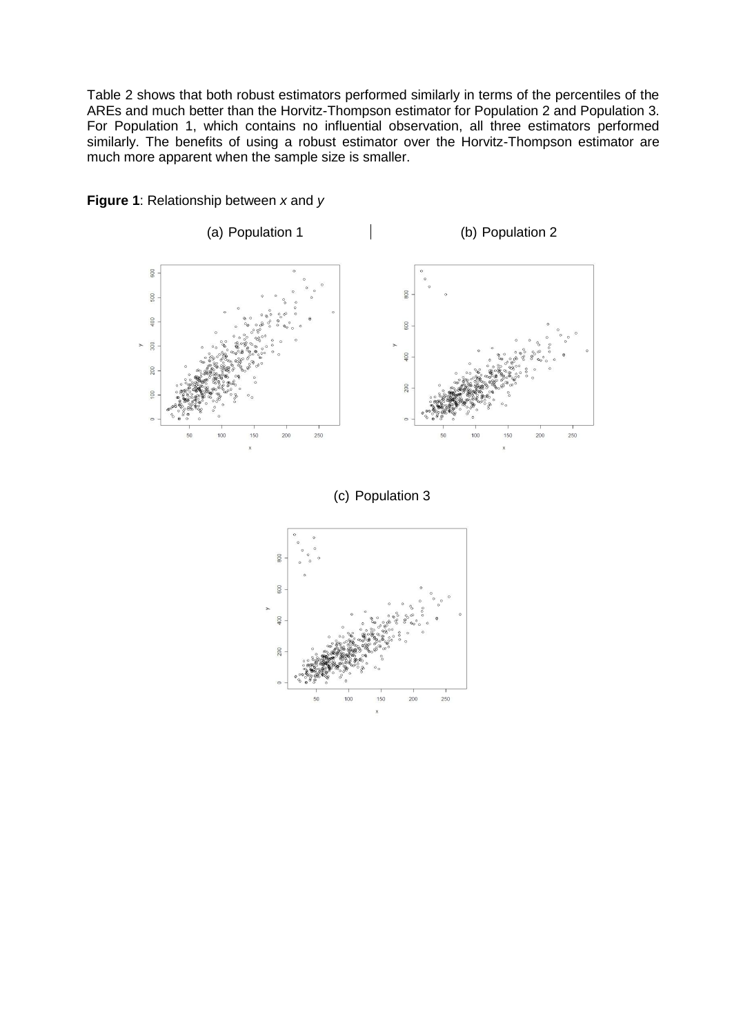Table 2 shows that both robust estimators performed similarly in terms of the percentiles of the AREs and much better than the Horvitz-Thompson estimator for Population 2 and Population 3. For Population 1, which contains no influential observation, all three estimators performed similarly. The benefits of using a robust estimator over the Horvitz-Thompson estimator are much more apparent when the sample size is smaller.





(c) Population 3

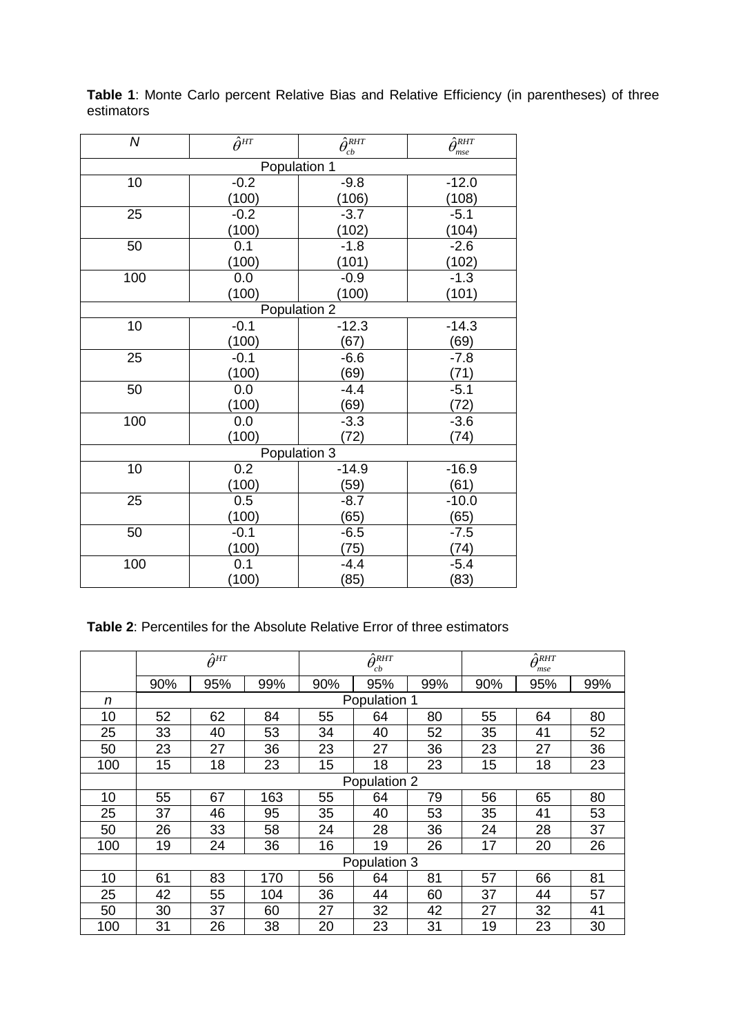| $\overline{N}$ | $\hat{\theta}^{HT}$ | $\overline{\hat{\theta}_{cb}^{RHT}}$ | $\overline{\hat{\theta}_{mse}^{RHT}}$ |  |  |  |  |  |  |
|----------------|---------------------|--------------------------------------|---------------------------------------|--|--|--|--|--|--|
| Population 1   |                     |                                      |                                       |  |  |  |  |  |  |
| 10             | $-0.2$              | $-9.8$                               | $-12.0$                               |  |  |  |  |  |  |
|                | (100)               | (106)                                | (108)                                 |  |  |  |  |  |  |
| 25             | $-0.2$              | $-3.7$                               | $-5.1$                                |  |  |  |  |  |  |
|                | (100)               | (102)                                | (104)                                 |  |  |  |  |  |  |
| 50             | 0.1                 | $-1.8$                               | $-2.6$                                |  |  |  |  |  |  |
|                | (100)               | (101)                                | $\frac{(102)}{-1.3}$                  |  |  |  |  |  |  |
| 100            | 0.0                 | $-0.9$                               |                                       |  |  |  |  |  |  |
|                | (100)               | (100)                                | (101)                                 |  |  |  |  |  |  |
| Population 2   |                     |                                      |                                       |  |  |  |  |  |  |
| 10             | $-0.1$              | $-12.3$                              | $-14.3$                               |  |  |  |  |  |  |
|                | (100)               | (67)                                 | (69)                                  |  |  |  |  |  |  |
| 25             | $-0.1$              | $-6.6$                               | $-7.8$                                |  |  |  |  |  |  |
|                | (100)               | (69)                                 | (71)                                  |  |  |  |  |  |  |
| 50             | 0.0                 | $-4.4$                               | $-5.1$                                |  |  |  |  |  |  |
|                | (100)               | (69)                                 | (72)                                  |  |  |  |  |  |  |
| 100            | 0.0                 | $-3.3$                               | $-3.6$                                |  |  |  |  |  |  |
|                | (100)               | (72)                                 | (74)                                  |  |  |  |  |  |  |
|                |                     | Population 3                         |                                       |  |  |  |  |  |  |
| 10             | 0.2                 | $-14.9$                              | $-16.9$                               |  |  |  |  |  |  |
|                | (100)               | (59)                                 | (61)                                  |  |  |  |  |  |  |
| 25             | 0.5                 | $-8.7$                               | $-10.0$                               |  |  |  |  |  |  |
|                | (100)               | (65)                                 | (65)                                  |  |  |  |  |  |  |
| 50             | $-0.1$              | $-6.5$                               | $-7.5$                                |  |  |  |  |  |  |
|                | (100)               | (75)                                 | (74)                                  |  |  |  |  |  |  |
| 100            | $\overline{0.1}$    | $-4.4$                               | $-5.4$                                |  |  |  |  |  |  |
|                | (100)               | (85)                                 | (83)                                  |  |  |  |  |  |  |

**Table 1**: Monte Carlo percent Relative Bias and Relative Efficiency (in parentheses) of three estimators

### **Table 2**: Percentiles for the Absolute Relative Error of three estimators

|     | $\hat{\theta}^{_{HT}}$ |     | $\bar{\hat{\theta}}_{cb}^{RHT}$ |     | $\hat{\theta}^{\textit{RHT}}$<br>mse |     |     |     |     |  |  |
|-----|------------------------|-----|---------------------------------|-----|--------------------------------------|-----|-----|-----|-----|--|--|
|     | 90%                    | 95% | 99%                             | 90% | 95%                                  | 99% | 90% | 95% | 99% |  |  |
| n   | Population 1           |     |                                 |     |                                      |     |     |     |     |  |  |
| 10  | 52                     | 62  | 84                              | 55  | 64                                   | 80  | 55  | 64  | 80  |  |  |
| 25  | 33                     | 40  | 53                              | 34  | 40                                   | 52  | 35  | 41  | 52  |  |  |
| 50  | 23                     | 27  | 36                              | 23  | 27                                   | 36  | 23  | 27  | 36  |  |  |
| 100 | 15                     | 18  | 23                              | 15  | 18                                   | 23  | 15  | 18  | 23  |  |  |
|     | Population 2           |     |                                 |     |                                      |     |     |     |     |  |  |
| 10  | 55                     | 67  | 163                             | 55  | 64                                   | 79  | 56  | 65  | 80  |  |  |
| 25  | 37                     | 46  | 95                              | 35  | 40                                   | 53  | 35  | 41  | 53  |  |  |
| 50  | 26                     | 33  | 58                              | 24  | 28                                   | 36  | 24  | 28  | 37  |  |  |
| 100 | 19                     | 24  | 36                              | 16  | 19                                   | 26  | 17  | 20  | 26  |  |  |
|     | Population 3           |     |                                 |     |                                      |     |     |     |     |  |  |
| 10  | 61                     | 83  | 170                             | 56  | 64                                   | 81  | 57  | 66  | 81  |  |  |
| 25  | 42                     | 55  | 104                             | 36  | 44                                   | 60  | 37  | 44  | 57  |  |  |
| 50  | 30                     | 37  | 60                              | 27  | 32                                   | 42  | 27  | 32  | 41  |  |  |
| 100 | 31                     | 26  | 38                              | 20  | 23                                   | 31  | 19  | 23  | 30  |  |  |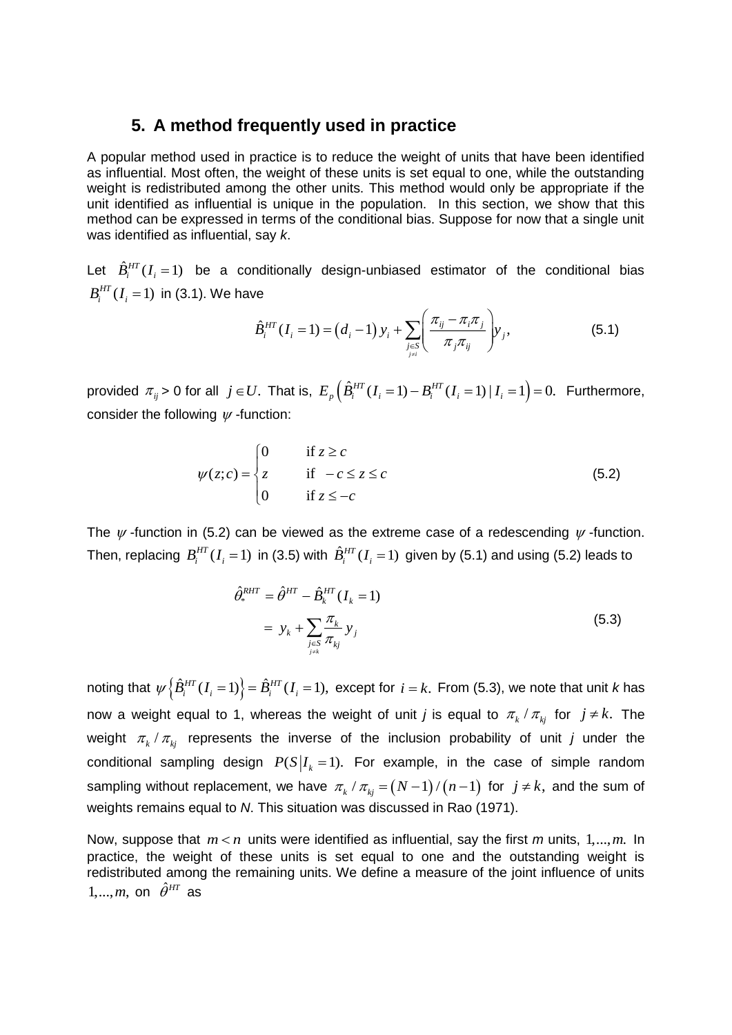### **5. A method frequently used in practice**

A popular method used in practice is to reduce the weight of units that have been identified as influential. Most often, the weight of these units is set equal to one, while the outstanding weight is redistributed among the other units. This method would only be appropriate if the unit identified as influential is unique in the population. In this section, we show that this method can be expressed in terms of the conditional bias. Suppose for now that a single unit was identified as influential, say *k*.

Let  $\hat{B}_{i}^{HT}(I_i=1)$  be a conditionally design-unbiased estimator of the conditional bias  $B_i^{HT}(I_i = 1)$  in (3.1). We have

$$
B_i^{HT}(I_i = 1) \text{ in (3.1). We have}
$$
\n
$$
\hat{B}_i^{HT}(I_i = 1) = (d_i - 1) y_i + \sum_{j \in S \atop j \neq i} \left( \frac{\pi_{ij} - \pi_i \pi_j}{\pi_j \pi_{ij}} \right) y_j,
$$
\n(5.1)

provided  $\pi_{ij}$  > 0 for all  $j \in U$ . That is,  $E_p\left(\hat{B}^{HT}_i(I_i=1) - B^{HT}_i(I_i=1) \mid I_i=1\right) = 0$ . Furthermore, consider the following  $\psi$  -function:

$$
\psi(z;c) = \begin{cases}\n0 & \text{if } z \ge c \\
z & \text{if } -c \le z \le c \\
0 & \text{if } z \le -c\n\end{cases}
$$
\n(5.2)

The  $\psi$ -function in (5.2) can be viewed as the extreme case of a redescending  $\psi$ -function. Then, replacing  $\ B_{i}^{HT}(I_{i}=1)$  in (3.5) with  $\ \hat{B}_{i}^{HT}(I_{i}=1) \,$  given by (5.1) and using (5.2) leads to

$$
\hat{\theta}_{*}^{RHT} = \hat{\theta}^{HT} - \hat{B}_{k}^{HT} (I_{k} = 1)
$$
  
=  $y_{k} + \sum_{\substack{j \in S \\ j \neq k}} \frac{\pi_{k}}{\pi_{kj}} y_{j}$  (5.3)

noting that  $\psi\left\{\hat{B}^{HT}_i(I_i=1)\right\} = \hat{B}^{HT}_i(I_i=1)$ , except for  $i=k$ . From (5.3), we note that unit *k* has now a weight equal to 1, whereas the weight of unit *j* is equal to  $\pi_{_k}$  /  $\pi_{_{kj}}$  for  $j \neq k$ . The weight  $\pi_k$  /  $\pi_{kj}$  represents the inverse of the inclusion probability of unit *j* under the conditional sampling design  $P(S|I_k=1)$ . For example, in the case of simple random sampling without replacement, we have  $\pi_{_k}$  /  $\pi_{_{kj}}$  =  $(N-1)$  /  $(n-1)$  for  $\ j\neq k,$  and the sum of weights remains equal to *N*. This situation was discussed in Rao (1971).

Now, suppose that  $m < n$  units were identified as influential, say the first  $m$  units,  $1, ..., m$ . In practice, the weight of these units is set equal to one and the outstanding weight is redistributed among the remaining units. We define a measure of the joint influence of units  $1, \ldots, m$ , on  $\hat{\theta}^{HT}$  as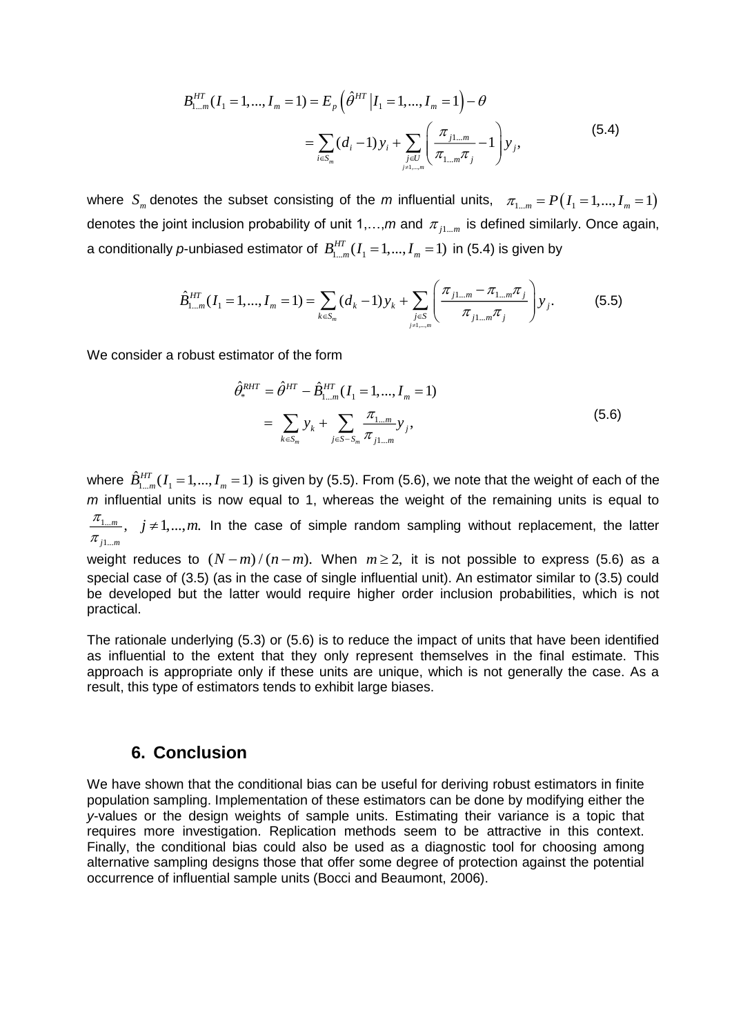$$
B_{1\dots m}^{HT}(I_1 = 1, ..., I_m = 1) = E_p \left( \hat{\theta}^{HT} | I_1 = 1, ..., I_m = 1 \right) - \theta
$$
  
= 
$$
\sum_{i \in S_m} (d_i - 1) y_i + \sum_{j \in U \atop j \neq 1, ..., m} \left( \frac{\pi_{j1\dots m}}{\pi_{1\dots m}\pi_j} - 1 \right) y_j,
$$
 (5.4)

where  $S_m$  denotes the subset consisting of the *m* influential units,  $\pi_{1...m} = P(I_1 = 1,...,I_m = 1)$ denotes the joint inclusion probability of unit 1,...,*m* and  $\pi_{j1...m}$  is defined similarly. Once again, a conditionally p-unbiased estimator of  $B_{1...m}^{HT}(I_1=1,...,I_m=1)$  in (5.4) is given by

$$
\hat{B}_{1\ldots m}^{HT}(I_1 = 1,\ldots, I_m = 1) = \sum_{k \in S_m} (d_k - 1) y_k + \sum_{j \in S \atop j \neq 1,\ldots,m} \left( \frac{\pi_{j1\ldots m} - \pi_{1\ldots m} \pi_j}{\pi_{j1\ldots m} \pi_j} \right) y_j.
$$
(5.5)

We consider a robust estimator of the form

$$
\hat{\theta}_{*}^{RHT} = \hat{\theta}^{HT} - \hat{B}_{1...m}^{HT} (I_1 = 1, ..., I_m = 1)
$$
  
= 
$$
\sum_{k \in S_m} y_k + \sum_{j \in S - S_m} \frac{\pi_{1...m}}{\pi_{j1...m}} y_j,
$$
 (5.6)

where  $B^{HT}_{1...m}(I_1)$  $\hat{B}^{HT}_{1...m}(I_1=1,...,I_m=1)$  is given by (5.5). From (5.6), we note that the weight of each of the *m* influential units is now equal to 1, whereas the weight of the remaining units is equal to  $\frac{\pi_{1...m}}{n}$ ,  $j \neq 1,...,m$ . In the case of simple random sampling without replacement, the latter  $\pi_{j1...m}$ weight reduces to  $(N-m)/(n-m)$ . When  $m \geq 2$ , it is not possible to express (5.6) as a special case of (3.5) (as in the case of single influential unit). An estimator similar to (3.5) could

be developed but the latter would require higher order inclusion probabilities, which is not

The rationale underlying (5.3) or (5.6) is to reduce the impact of units that have been identified as influential to the extent that they only represent themselves in the final estimate. This approach is appropriate only if these units are unique, which is not generally the case. As a result, this type of estimators tends to exhibit large biases.

### **6. Conclusion**

practical.

We have shown that the conditional bias can be useful for deriving robust estimators in finite population sampling. Implementation of these estimators can be done by modifying either the *y*-values or the design weights of sample units. Estimating their variance is a topic that requires more investigation. Replication methods seem to be attractive in this context. Finally, the conditional bias could also be used as a diagnostic tool for choosing among alternative sampling designs those that offer some degree of protection against the potential occurrence of influential sample units (Bocci and Beaumont, 2006).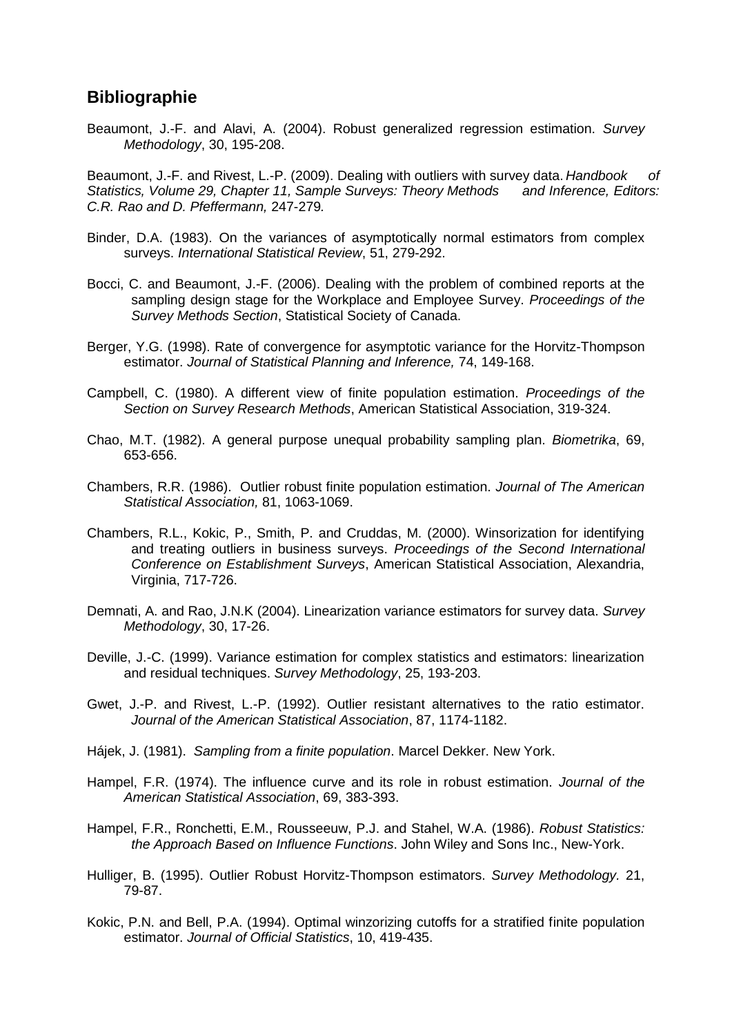# **Bibliographie**

Beaumont, J.-F. and Alavi, A. (2004). Robust generalized regression estimation. *Survey Methodology*, 30, 195-208.

Beaumont, J.-F. and Rivest, L.-P. (2009). Dealing with outliers with survey data. *Handbook of Statistics, Volume 29, Chapter 11, Sample Surveys: Theory Methods and Inference, Editors: C.R. Rao and D. Pfeffermann,* 247-279*.*

- Binder, D.A. (1983). On the variances of asymptotically normal estimators from complex surveys. *International Statistical Review*, 51, 279-292.
- Bocci, C. and Beaumont, J.-F. (2006). Dealing with the problem of combined reports at the sampling design stage for the Workplace and Employee Survey. *Proceedings of the Survey Methods Section*, Statistical Society of Canada.
- Berger, Y.G. (1998). Rate of convergence for asymptotic variance for the Horvitz-Thompson estimator. *Journal of Statistical Planning and Inference,* 74, 149-168.
- Campbell, C. (1980). A different view of finite population estimation. *Proceedings of the Section on Survey Research Methods*, American Statistical Association, 319-324.
- Chao, M.T. (1982). A general purpose unequal probability sampling plan. *Biometrika*, 69, 653-656.
- Chambers, R.R. (1986). Outlier robust finite population estimation. *Journal of The American Statistical Association,* 81, 1063-1069.
- Chambers, R.L., Kokic, P., Smith, P. and Cruddas, M. (2000). Winsorization for identifying and treating outliers in business surveys. *Proceedings of the Second International Conference on Establishment Surveys*, American Statistical Association, Alexandria, Virginia, 717-726.
- Demnati, A. and Rao, J.N.K (2004). Linearization variance estimators for survey data. *Survey Methodology*, 30, 17-26.
- Deville, J.-C. (1999). Variance estimation for complex statistics and estimators: linearization and residual techniques. *Survey Methodology*, 25, 193-203.
- Gwet, J.-P. and Rivest, L.-P. (1992). Outlier resistant alternatives to the ratio estimator. *Journal of the American Statistical Association*, 87, 1174-1182.
- Hájek, J. (1981). *Sampling from a finite population*. Marcel Dekker. New York.
- Hampel, F.R. (1974). The influence curve and its role in robust estimation. *Journal of the American Statistical Association*, 69, 383-393.
- Hampel, F.R., Ronchetti, E.M., Rousseeuw, P.J. and Stahel, W.A. (1986). *Robust Statistics: the Approach Based on Influence Functions*. John Wiley and Sons Inc., New-York.
- Hulliger, B. (1995). Outlier Robust Horvitz-Thompson estimators. *Survey Methodology.* 21, 79-87.
- Kokic, P.N. and Bell, P.A. (1994). Optimal winzorizing cutoffs for a stratified finite population estimator. *Journal of Official Statistics*, 10, 419-435.